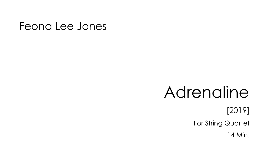## Feona Lee Jones

# Adrenaline<br>[2019]

For String Quartet

14 Min.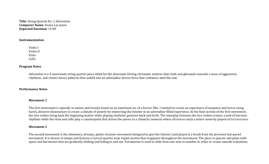**Title:** String Quartet No. 2 *Adrenaline* **Composer Name:** Feona Lee Jones **Expected Duration: 14:00** 

#### **Instrumentation:**

Violin I Violin II Viola Cello

#### **Program Notes**

*Adrenaline* is a 4-movement string quartet piece titled for the dissonant driving chromatic motives that clash and glissando towards a mass of aggressive, rhythmic, and cluster-heavy patterns that unfold into an adrenaline-driven force that continues until the end.

#### **Performance Notes**

#### **Movement 1**

The first movement is episodic in nature and loosely based on an emotional arc of a horror film. I wanted to create an experience of suspense and terror using harsh, abrasive dissonances to create a climate of anxiety by immersing the listener in an adrenaline-filled experience. In the final section of the first movement, the two violins bring back the beginning motive while playing rhythmic gestures back and forth. The interplay between the two violins creates a web of intricate rhythms while the viola and cello play a counterpoint that drives the pieces to a climactic moment where all voices reach a minor sonority played at fortississimo.

#### **Movement 2**

The second movement is the shimmery, dreamy, palate-cleanser movement designed to give the listener (and players) a break from the previous fast-paced movement. It is slower in tempo and features a lyrical quarter-note triplet motive that reappears throughout the movement. The piece is sparser and plays with space and harmonies that are gradually shifting and fading in and out. Portamento is used to slide from one note to another in order to create smooth transitions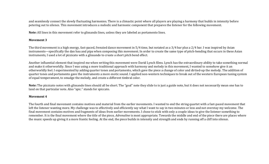and seamlessly connect the slowly fluctuating harmonies. There is a climactic point where all players are playing a harmony that builds in intensity before petering out to silence. This movement introduces a melodic and harmonic component that prepares the listener for the following movement.

**Note:** All lines in this movement refer to glissando lines, unless they are labeled as portamento lines.

#### **Movement 3**

The third movement is a high energy, fast-paced, frenzied dance movement in  $5/4$  time, but notated as a  $3/4$  bar plus a  $2/4$  bar. I was inspired by Asian instruments—specifically the dan bau and pipa when composing this movement. In order to create the same type of pitch-bending that occurs in these Asian instruments, I used a lot of pizzicato with a glissando to create a short pitch bend effect.

Another influential element that inspired me when writing this movement were David Lynch films. Lynch has the extraordinary ability to take something normal and make it otherworldly. Since I was using a more traditional approach with harmony and melody in this movement, I wanted to somehow give it an otherworldly feel. I experimented by adding quarter tones and portamento, which gave the piece a change of color and dirtied-up the melody. The addition of quarter tones and portamento gave the instruments a more exotic sound. I applied non-western techniques to break out of the western European tuning system of equal temperament, to smudge the melody, and create a different timbral color.

**Note:** The pizzicato notes with glissando lines should all be short. The "goal" note they slide to is just a guide note, but it does not necessarily mean one has to land on that particular note. Also "spic." stands for spiccato.

#### **Movement 4**

The fourth and final movement contains motives and material from the earlier movements. I wanted to end the string quartet with a fast-paced movement that left the listener wanting more. My challenge was to effectively and efficiently say what I want to say in two minutes or less and not overstay my welcome. The final movement contains motives and fragments of ideas from earlier movements. I chose to stick with only a couple ideas to give the listener something to remember. It is the final movement where the title of the piece, *Adrenaline* is most appropriate. Towards the middle and end of the piece there are places where the music speeds up giving it a more frantic feeling. At the end, the piece builds in intensity and strength and ends by running off a cliff into silence.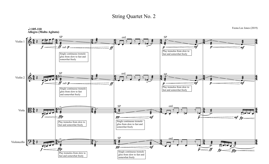## String Quartet No. 2



Feona Lee Jones (2019)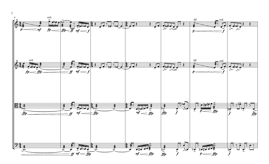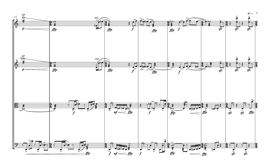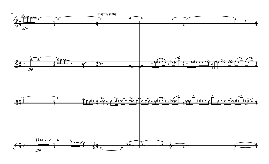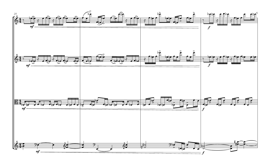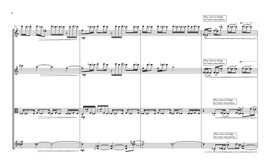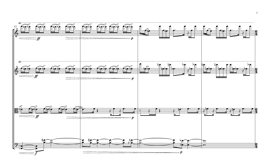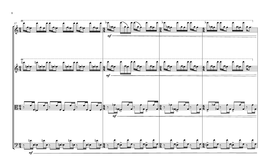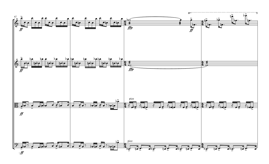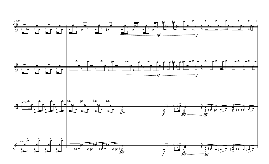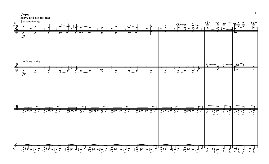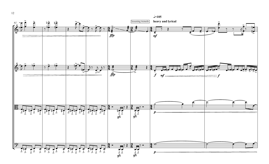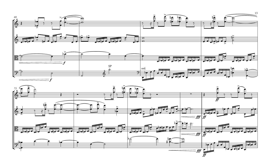

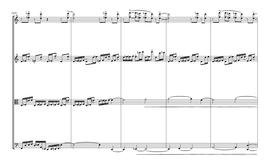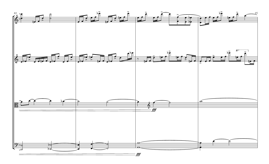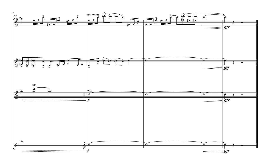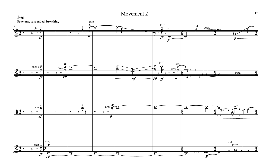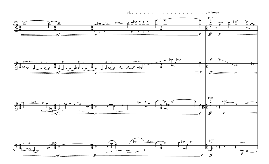

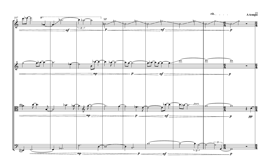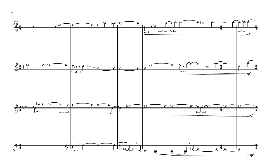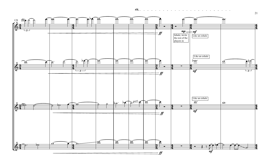

**rit.**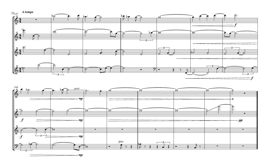

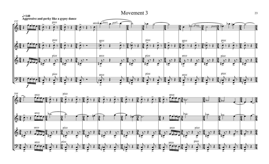

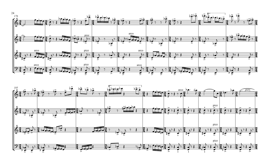

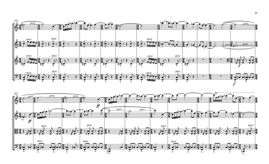

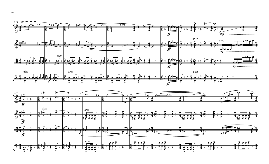

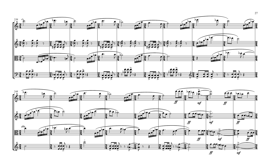

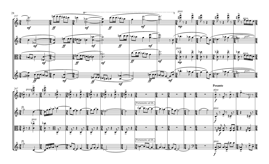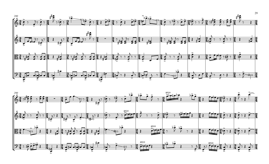

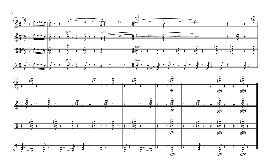

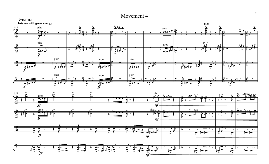### Movement 4



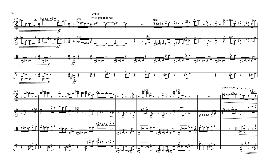

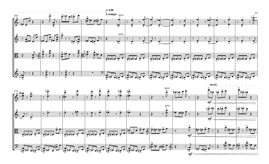

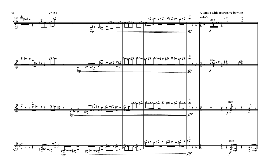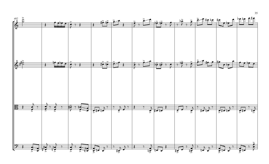